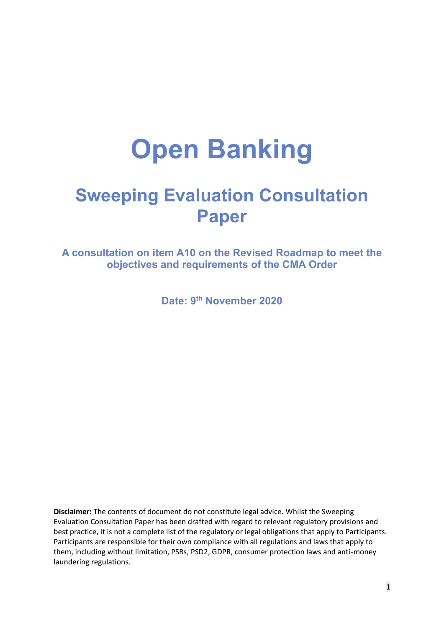# **Open Banking**

# **Sweeping Evaluation Consultation Paper**

**A consultation on item A10 on the Revised Roadmap to meet the objectives and requirements of the CMA Order**

**Date: 9th November 2020**

**Disclaimer:** The contents of document do not constitute legal advice. Whilst the Sweeping Evaluation Consultation Paper has been drafted with regard to relevant regulatory provisions and best practice, it is not a complete list of the regulatory or legal obligations that apply to Participants. Participants are responsible for their own compliance with all regulations and laws that apply to them, including without limitation, PSRs, PSD2, GDPR, consumer protection laws and anti-money laundering regulations.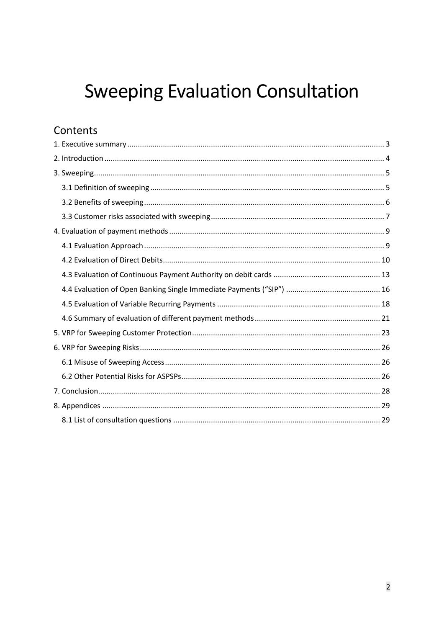# **Sweeping Evaluation Consultation**

# Contents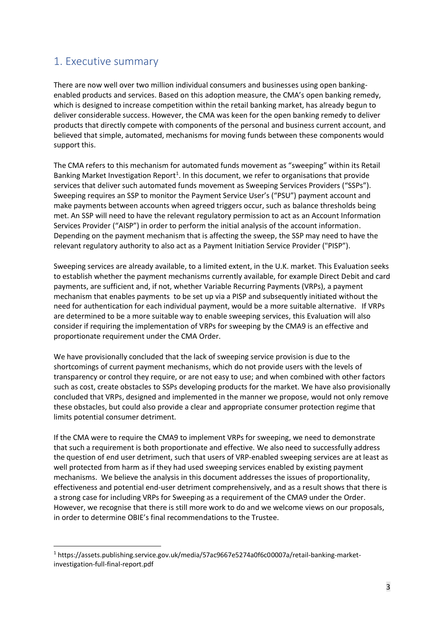## <span id="page-2-0"></span>1. Executive summary

There are now well over two million individual consumers and businesses using open bankingenabled products and services. Based on this adoption measure, the CMA's open banking remedy, which is designed to increase competition within the retail banking market, has already begun to deliver considerable success. However, the CMA was keen for the open banking remedy to deliver products that directly compete with components of the personal and business current account, and believed that simple, automated, mechanisms for moving funds between these components would support this.

The CMA refers to this mechanism for automated funds movement as "sweeping" within its Retail Banking Market Investigation Report<sup>1</sup>. In this document, we refer to organisations that provide services that deliver such automated funds movement as Sweeping Services Providers ("SSPs"). Sweeping requires an SSP to monitor the Payment Service User's ("PSU") payment account and make payments between accounts when agreed triggers occur, such as balance thresholds being met. An SSP will need to have the relevant regulatory permission to act as an Account Information Services Provider ("AISP") in order to perform the initial analysis of the account information. Depending on the payment mechanism that is affecting the sweep, the SSP may need to have the relevant regulatory authority to also act as a Payment Initiation Service Provider ("PISP").

Sweeping services are already available, to a limited extent, in the U.K. market. This Evaluation seeks to establish whether the payment mechanisms currently available, for example Direct Debit and card payments, are sufficient and, if not, whether Variable Recurring Payments (VRPs), a payment mechanism that enables payments to be set up via a PISP and subsequently initiated without the need for authentication for each individual payment, would be a more suitable alternative. If VRPs are determined to be a more suitable way to enable sweeping services, this Evaluation will also consider if requiring the implementation of VRPs for sweeping by the CMA9 is an effective and proportionate requirement under the CMA Order.

We have provisionally concluded that the lack of sweeping service provision is due to the shortcomings of current payment mechanisms, which do not provide users with the levels of transparency or control they require, or are not easy to use; and when combined with other factors such as cost, create obstacles to SSPs developing products for the market. We have also provisionally concluded that VRPs, designed and implemented in the manner we propose, would not only remove these obstacles, but could also provide a clear and appropriate consumer protection regime that limits potential consumer detriment.

If the CMA were to require the CMA9 to implement VRPs for sweeping, we need to demonstrate that such a requirement is both proportionate and effective. We also need to successfully address the question of end user detriment, such that users of VRP-enabled sweeping services are at least as well protected from harm as if they had used sweeping services enabled by existing payment mechanisms. We believe the analysis in this document addresses the issues of proportionality, effectiveness and potential end-user detriment comprehensively, and as a result shows that there is a strong case for including VRPs for Sweeping as a requirement of the CMA9 under the Order. However, we recognise that there is still more work to do and we welcome views on our proposals, in order to determine OBIE's final recommendations to the Trustee.

<sup>1</sup> https://assets.publishing.service.gov.uk/media/57ac9667e5274a0f6c00007a/retail-banking-marketinvestigation-full-final-report.pdf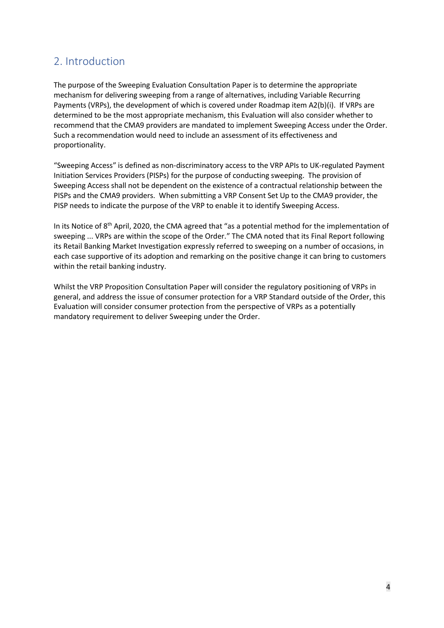## <span id="page-3-0"></span>2. Introduction

The purpose of the Sweeping Evaluation Consultation Paper is to determine the appropriate mechanism for delivering sweeping from a range of alternatives, including Variable Recurring Payments (VRPs), the development of which is covered under Roadmap item A2(b)(i). If VRPs are determined to be the most appropriate mechanism, this Evaluation will also consider whether to recommend that the CMA9 providers are mandated to implement Sweeping Access under the Order. Such a recommendation would need to include an assessment of its effectiveness and proportionality.

"Sweeping Access" is defined as non-discriminatory access to the VRP APIs to UK-regulated Payment Initiation Services Providers (PISPs) for the purpose of conducting sweeping. The provision of Sweeping Access shall not be dependent on the existence of a contractual relationship between the PISPs and the CMA9 providers. When submitting a VRP Consent Set Up to the CMA9 provider, the PISP needs to indicate the purpose of the VRP to enable it to identify Sweeping Access.

In its Notice of 8<sup>th</sup> April, 2020, the CMA agreed that "as a potential method for the implementation of sweeping ... VRPs are within the scope of the Order." The CMA noted that its Final Report following its Retail Banking Market Investigation expressly referred to sweeping on a number of occasions, in each case supportive of its adoption and remarking on the positive change it can bring to customers within the retail banking industry.

Whilst the VRP Proposition Consultation Paper will consider the regulatory positioning of VRPs in general, and address the issue of consumer protection for a VRP Standard outside of the Order, this Evaluation will consider consumer protection from the perspective of VRPs as a potentially mandatory requirement to deliver Sweeping under the Order.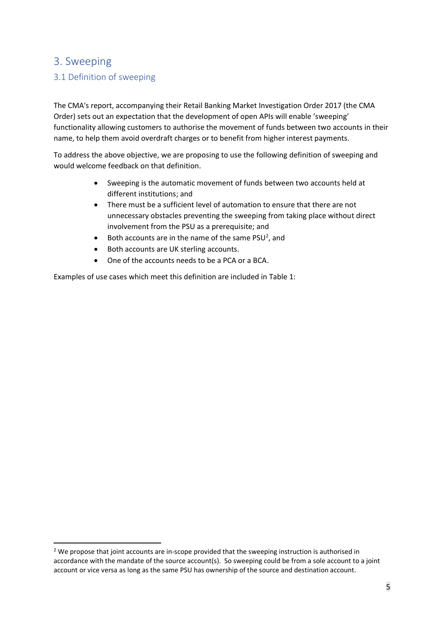## <span id="page-4-0"></span>3. Sweeping

## <span id="page-4-1"></span>3.1 Definition of sweeping

The CMA's report, accompanying their Retail Banking Market Investigation Order 2017 (the CMA Order) sets out an expectation that the development of open APIs will enable 'sweeping' functionality allowing customers to authorise the movement of funds between two accounts in their name, to help them avoid overdraft charges or to benefit from higher interest payments.

To address the above objective, we are proposing to use the following definition of sweeping and would welcome feedback on that definition.

- Sweeping is the automatic movement of funds between two accounts held at different institutions; and
- There must be a sufficient level of automation to ensure that there are not unnecessary obstacles preventing the sweeping from taking place without direct involvement from the PSU as a prerequisite; and
- Both accounts are in the name of the same  $PSU<sup>2</sup>$ , and
- Both accounts are UK sterling accounts.
- One of the accounts needs to be a PCA or a BCA.

Examples of use cases which meet this definition are included in Table 1:

<sup>&</sup>lt;sup>2</sup> We propose that joint accounts are in-scope provided that the sweeping instruction is authorised in accordance with the mandate of the source account(s). So sweeping could be from a sole account to a joint account or vice versa as long as the same PSU has ownership of the source and destination account.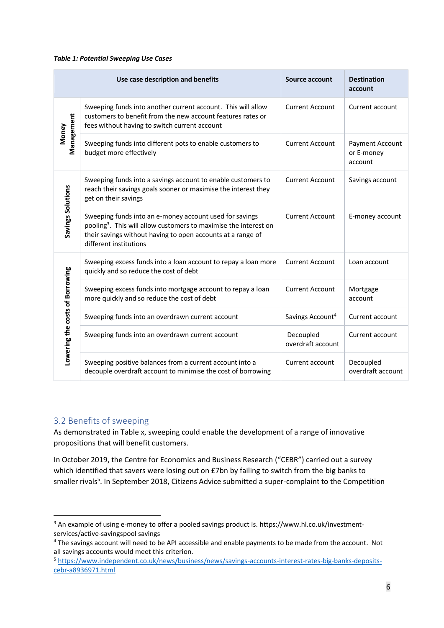#### *Table 1: Potential Sweeping Use Cases*

|                                 | Use case description and benefits                                                                                                                                                                                                | <b>Source account</b>          | <b>Destination</b><br>account            |
|---------------------------------|----------------------------------------------------------------------------------------------------------------------------------------------------------------------------------------------------------------------------------|--------------------------------|------------------------------------------|
|                                 | Sweeping funds into another current account. This will allow<br>customers to benefit from the new account features rates or<br>fees without having to switch current account                                                     | <b>Current Account</b>         | Current account                          |
| Management<br>Money             | Sweeping funds into different pots to enable customers to<br>budget more effectively                                                                                                                                             | <b>Current Account</b>         | Payment Account<br>or E-money<br>account |
|                                 | Sweeping funds into a savings account to enable customers to<br>reach their savings goals sooner or maximise the interest they<br>get on their savings                                                                           | <b>Current Account</b>         | Savings account                          |
| Savings Solutions               | Sweeping funds into an e-money account used for savings<br>pooling <sup>3</sup> . This will allow customers to maximise the interest on<br>their savings without having to open accounts at a range of<br>different institutions | <b>Current Account</b>         | E-money account                          |
|                                 | Sweeping excess funds into a loan account to repay a loan more<br>quickly and so reduce the cost of debt                                                                                                                         | <b>Current Account</b>         | Loan account                             |
|                                 | Sweeping excess funds into mortgage account to repay a loan<br>more quickly and so reduce the cost of debt                                                                                                                       | <b>Current Account</b>         | Mortgage<br>account                      |
| Lowering the costs of Borrowing | Sweeping funds into an overdrawn current account                                                                                                                                                                                 | Savings Account <sup>4</sup>   | Current account                          |
|                                 | Sweeping funds into an overdrawn current account                                                                                                                                                                                 | Decoupled<br>overdraft account | Current account                          |
|                                 | Sweeping positive balances from a current account into a<br>decouple overdraft account to minimise the cost of borrowing                                                                                                         | Current account                | Decoupled<br>overdraft account           |

## <span id="page-5-0"></span>3.2 Benefits of sweeping

As demonstrated in Table x, sweeping could enable the development of a range of innovative propositions that will benefit customers.

In October 2019, the Centre for Economics and Business Research ("CEBR") carried out a survey which identified that savers were losing out on £7bn by failing to switch from the big banks to smaller rivals<sup>5</sup>. In September 2018, Citizens Advice submitted a super-complaint to the Competition

<sup>&</sup>lt;sup>3</sup> An example of using e-money to offer a pooled savings product is. https://www.hl.co.uk/investmentservices/active-savingspool savings

<sup>&</sup>lt;sup>4</sup> The savings account will need to be API accessible and enable payments to be made from the account. Not all savings accounts would meet this criterion.

<sup>5</sup> [https://www.independent.co.uk/news/business/news/savings-accounts-interest-rates-big-banks-deposits](https://www.independent.co.uk/news/business/news/savings-accounts-interest-rates-big-banks-deposits-cebr-a8936971.html)[cebr-a8936971.html](https://www.independent.co.uk/news/business/news/savings-accounts-interest-rates-big-banks-deposits-cebr-a8936971.html)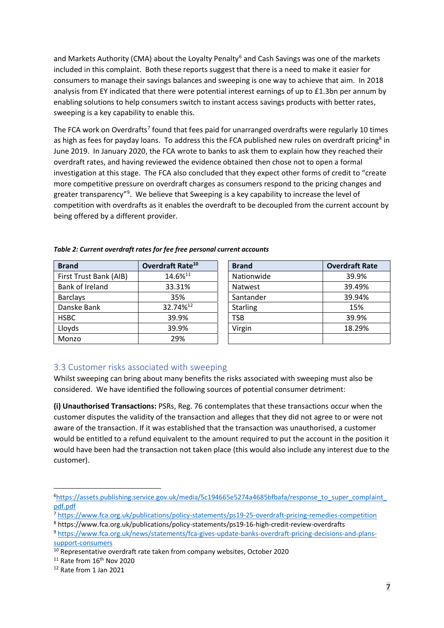and Markets Authority (CMA) about the Loyalty Penalty<sup>6</sup> and Cash Savings was one of the markets included in this complaint. Both these reports suggest that there is a need to make it easier for consumers to manage their savings balances and sweeping is one way to achieve that aim. In 2018 analysis from EY indicated that there were potential interest earnings of up to £1.3bn per annum by enabling solutions to help consumers switch to instant access savings products with better rates, sweeping is a key capability to enable this.

The FCA work on Overdrafts<sup>7</sup> found that fees paid for unarranged overdrafts were regularly 10 times as high as fees for payday loans. To address this the FCA published new rules on overdraft pricing<sup>8</sup> in June 2019. In January 2020, the FCA wrote to banks to ask them to explain how they reached their overdraft rates, and having reviewed the evidence obtained then chose not to open a formal investigation at this stage. The FCA also concluded that they expect other forms of credit to "create more competitive pressure on overdraft charges as consumers respond to the pricing changes and greater transparency"<sup>9</sup>. We believe that Sweeping is a key capability to increase the level of competition with overdrafts as it enables the overdraft to be decoupled from the current account by being offered by a different provider.

| <b>Brand</b>           | Overdraft Rate <sup>10</sup> | <b>Brand</b>    | <b>Overdraft Rate</b> |
|------------------------|------------------------------|-----------------|-----------------------|
| First Trust Bank (AIB) | 14.6%11                      | Nationwide      | 39.9%                 |
| Bank of Ireland        | 33.31%                       | <b>Natwest</b>  | 39.49%                |
| <b>Barclays</b>        | 35%                          | Santander       | 39.94%                |
| Danske Bank            | 32.74% <sup>12</sup>         | <b>Starling</b> | 15%                   |
| <b>HSBC</b>            | 39.9%                        | <b>TSB</b>      | 39.9%                 |
| Lloyds                 | 39.9%                        | Virgin          | 18.29%                |
| Monzo                  | 29%                          |                 |                       |

*Table 2: Current overdraft rates for fee free personal current accounts*

| <b>Brand</b>    | <b>Overdraft Rate</b> |
|-----------------|-----------------------|
| Nationwide      | 39.9%                 |
| <b>Natwest</b>  | 39.49%                |
| Santander       | 39.94%                |
| <b>Starling</b> | 15%                   |
| <b>TSB</b>      | 39.9%                 |
| Virgin          | 18.29%                |
|                 |                       |

## <span id="page-6-0"></span>3.3 Customer risks associated with sweeping

Whilst sweeping can bring about many benefits the risks associated with sweeping must also be considered. We have identified the following sources of potential consumer detriment:

**(i) Unauthorised Transactions:** PSRs, Reg. 76 contemplates that these transactions occur when the customer disputes the validity of the transaction and alleges that they did not agree to or were not aware of the transaction. If it was established that the transaction was unauthorised, a customer would be entitled to a refund equivalent to the amount required to put the account in the position it would have been had the transaction not taken place (this would also include any interest due to the customer).

<sup>6</sup>[https://assets.publishing.service.gov.uk/media/5c194665e5274a4685bfbafa/response\\_to\\_super\\_complaint\\_](https://assets.publishing.service.gov.uk/media/5c194665e5274a4685bfbafa/response_to_super_complaint_pdf.pdf) [pdf.pdf](https://assets.publishing.service.gov.uk/media/5c194665e5274a4685bfbafa/response_to_super_complaint_pdf.pdf)

<sup>7</sup> <https://www.fca.org.uk/publications/policy-statements/ps19-25-overdraft-pricing-remedies-competition>

<sup>8</sup> https://www.fca.org.uk/publications/policy-statements/ps19-16-high-credit-review-overdrafts

<sup>9</sup> [https://www.fca.org.uk/news/statements/fca-gives-update-banks-overdraft-pricing-decisions-and-plans](https://www.fca.org.uk/news/statements/fca-gives-update-banks-overdraft-pricing-decisions-and-plans-support-consumers)[support-consumers](https://www.fca.org.uk/news/statements/fca-gives-update-banks-overdraft-pricing-decisions-and-plans-support-consumers)

<sup>&</sup>lt;sup>10</sup> Representative overdraft rate taken from company websites, October 2020

 $11$  Rate from  $16<sup>th</sup>$  Nov 2020

<sup>12</sup> Rate from 1 Jan 2021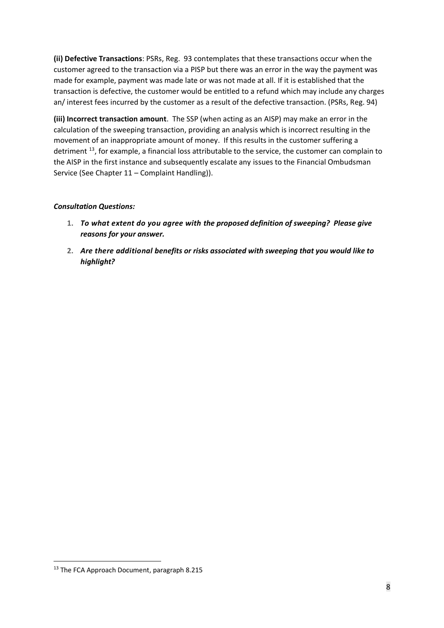**(ii) Defective Transactions**: PSRs, Reg. 93 contemplates that these transactions occur when the customer agreed to the transaction via a PISP but there was an error in the way the payment was made for example, payment was made late or was not made at all. If it is established that the transaction is defective, the customer would be entitled to a refund which may include any charges an/ interest fees incurred by the customer as a result of the defective transaction. (PSRs, Reg. 94)

**(iii) Incorrect transaction amount**. The SSP (when acting as an AISP) may make an error in the calculation of the sweeping transaction, providing an analysis which is incorrect resulting in the movement of an inappropriate amount of money. If this results in the customer suffering a detriment <sup>13</sup>, for example, a financial loss attributable to the service, the customer can complain to the AISP in the first instance and subsequently escalate any issues to the Financial Ombudsman Service (See Chapter 11 – Complaint Handling)).

#### *Consultation Questions:*

- **1.** *To what extent do you agree with the proposed definition of sweeping? Please give reasons for your answer.*
- **2.** *Are there additional benefits or risks associated with sweeping that you would like to highlight?*

<sup>&</sup>lt;sup>13</sup> The FCA Approach Document, paragraph 8.215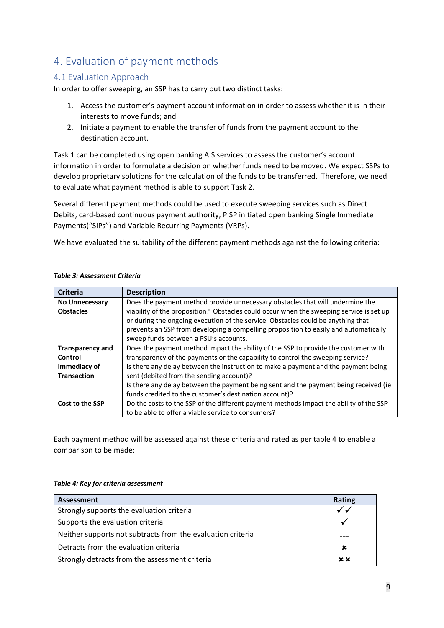# <span id="page-8-0"></span>4. Evaluation of payment methods

## <span id="page-8-1"></span>4.1 Evaluation Approach

In order to offer sweeping, an SSP has to carry out two distinct tasks:

- 1. Access the customer's payment account information in order to assess whether it is in their interests to move funds; and
- 2. Initiate a payment to enable the transfer of funds from the payment account to the destination account.

Task 1 can be completed using open banking AIS services to assess the customer's account information in order to formulate a decision on whether funds need to be moved. We expect SSPs to develop proprietary solutions for the calculation of the funds to be transferred. Therefore, we need to evaluate what payment method is able to support Task 2.

Several different payment methods could be used to execute sweeping services such as Direct Debits, card-based continuous payment authority, PISP initiated open banking Single Immediate Payments("SIPs") and Variable Recurring Payments (VRPs).

We have evaluated the suitability of the different payment methods against the following criteria:

| <b>Criteria</b>         | <b>Description</b>                                                                      |  |  |
|-------------------------|-----------------------------------------------------------------------------------------|--|--|
| <b>No Unnecessary</b>   | Does the payment method provide unnecessary obstacles that will undermine the           |  |  |
| <b>Obstacles</b>        | viability of the proposition? Obstacles could occur when the sweeping service is set up |  |  |
|                         | or during the ongoing execution of the service. Obstacles could be anything that        |  |  |
|                         | prevents an SSP from developing a compelling proposition to easily and automatically    |  |  |
|                         | sweep funds between a PSU's accounts.                                                   |  |  |
| <b>Transparency and</b> | Does the payment method impact the ability of the SSP to provide the customer with      |  |  |
| Control                 | transparency of the payments or the capability to control the sweeping service?         |  |  |
| Immediacy of            | Is there any delay between the instruction to make a payment and the payment being      |  |  |
| <b>Transaction</b>      | sent (debited from the sending account)?                                                |  |  |
|                         | Is there any delay between the payment being sent and the payment being received (ie    |  |  |
|                         | funds credited to the customer's destination account)?                                  |  |  |
| Cost to the SSP         | Do the costs to the SSP of the different payment methods impact the ability of the SSP  |  |  |
|                         | to be able to offer a viable service to consumers?                                      |  |  |

#### *Table 3: Assessment Criteria*

Each payment method will be assessed against these criteria and rated as per table 4 to enable a comparison to be made:

#### *Table 4: Key for criteria assessment*

| Assessment                                                  | <b>Rating</b> |
|-------------------------------------------------------------|---------------|
| Strongly supports the evaluation criteria                   |               |
| Supports the evaluation criteria                            |               |
| Neither supports not subtracts from the evaluation criteria |               |
| Detracts from the evaluation criteria                       | ×             |
| Strongly detracts from the assessment criteria              | хx            |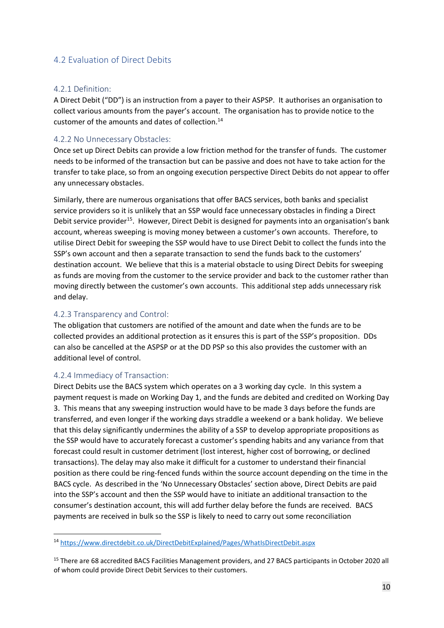## <span id="page-9-0"></span>4.2 Evaluation of Direct Debits

#### 4.2.1 Definition:

A Direct Debit ("DD") is an instruction from a payer to their ASPSP. It authorises an organisation to collect various amounts from the payer's account. The organisation has to provide notice to the customer of the amounts and dates of collection.<sup>14</sup>

#### 4.2.2 No Unnecessary Obstacles:

Once set up Direct Debits can provide a low friction method for the transfer of funds. The customer needs to be informed of the transaction but can be passive and does not have to take action for the transfer to take place, so from an ongoing execution perspective Direct Debits do not appear to offer any unnecessary obstacles.

Similarly, there are numerous organisations that offer BACS services, both banks and specialist service providers so it is unlikely that an SSP would face unnecessary obstacles in finding a Direct Debit service provider<sup>15</sup>. However, Direct Debit is designed for payments into an organisation's bank account, whereas sweeping is moving money between a customer's own accounts. Therefore, to utilise Direct Debit for sweeping the SSP would have to use Direct Debit to collect the funds into the SSP's own account and then a separate transaction to send the funds back to the customers' destination account. We believe that this is a material obstacle to using Direct Debits for sweeping as funds are moving from the customer to the service provider and back to the customer rather than moving directly between the customer's own accounts. This additional step adds unnecessary risk and delay.

#### 4.2.3 Transparency and Control:

The obligation that customers are notified of the amount and date when the funds are to be collected provides an additional protection as it ensures this is part of the SSP's proposition. DDs can also be cancelled at the ASPSP or at the DD PSP so this also provides the customer with an additional level of control.

#### 4.2.4 Immediacy of Transaction:

Direct Debits use the BACS system which operates on a 3 working day cycle. In this system a payment request is made on Working Day 1, and the funds are debited and credited on Working Day 3. This means that any sweeping instruction would have to be made 3 days before the funds are transferred, and even longer if the working days straddle a weekend or a bank holiday. We believe that this delay significantly undermines the ability of a SSP to develop appropriate propositions as the SSP would have to accurately forecast a customer's spending habits and any variance from that forecast could result in customer detriment (lost interest, higher cost of borrowing, or declined transactions). The delay may also make it difficult for a customer to understand their financial position as there could be ring-fenced funds within the source account depending on the time in the BACS cycle. As described in the 'No Unnecessary Obstacles' section above, Direct Debits are paid into the SSP's account and then the SSP would have to initiate an additional transaction to the consumer's destination account, this will add further delay before the funds are received. BACS payments are received in bulk so the SSP is likely to need to carry out some reconciliation

<sup>14</sup> <https://www.directdebit.co.uk/DirectDebitExplained/Pages/WhatIsDirectDebit.aspx>

<sup>&</sup>lt;sup>15</sup> There are 68 accredited BACS Facilities Management providers, and 27 BACS participants in October 2020 all of whom could provide Direct Debit Services to their customers.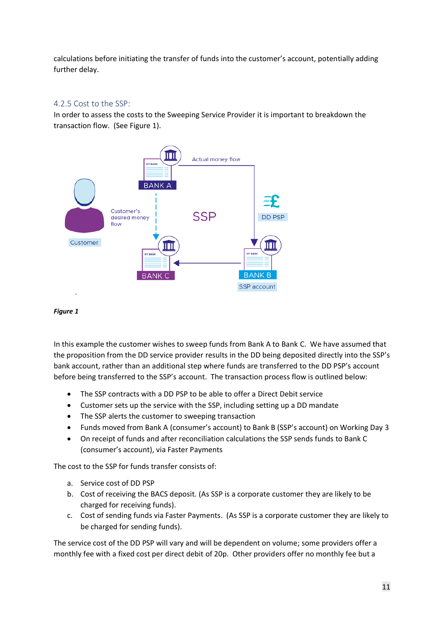calculations before initiating the transfer of funds into the customer's account, potentially adding further delay.

#### 4.2.5 Cost to the SSP:

In order to assess the costs to the Sweeping Service Provider it is important to breakdown the transaction flow. (See Figure 1).





In this example the customer wishes to sweep funds from Bank A to Bank C. We have assumed that the proposition from the DD service provider results in the DD being deposited directly into the SSP's bank account, rather than an additional step where funds are transferred to the DD PSP's account before being transferred to the SSP's account. The transaction process flow is outlined below:

- The SSP contracts with a DD PSP to be able to offer a Direct Debit service
- Customer sets up the service with the SSP, including setting up a DD mandate
- The SSP alerts the customer to sweeping transaction
- Funds moved from Bank A (consumer's account) to Bank B (SSP's account) on Working Day 3
- On receipt of funds and after reconciliation calculations the SSP sends funds to Bank C (consumer's account), via Faster Payments

The cost to the SSP for funds transfer consists of:

- a. Service cost of DD PSP
- b. Cost of receiving the BACS deposit. (As SSP is a corporate customer they are likely to be charged for receiving funds).
- c. Cost of sending funds via Faster Payments. (As SSP is a corporate customer they are likely to be charged for sending funds).

The service cost of the DD PSP will vary and will be dependent on volume; some providers offer a monthly fee with a fixed cost per direct debit of 20p. Other providers offer no monthly fee but a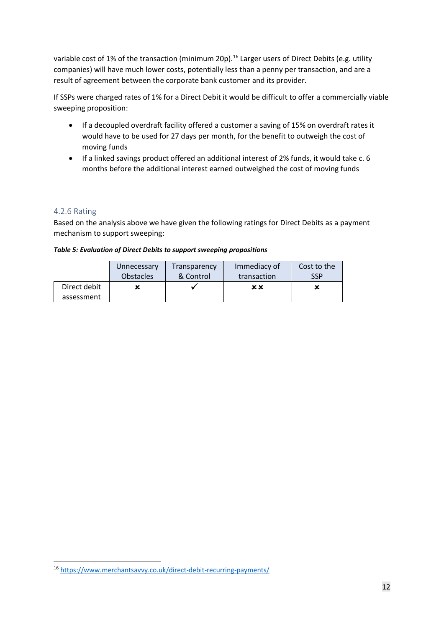variable cost of 1% of the transaction (minimum 20p).<sup>16</sup> Larger users of Direct Debits (e.g. utility companies) will have much lower costs, potentially less than a penny per transaction, and are a result of agreement between the corporate bank customer and its provider.

If SSPs were charged rates of 1% for a Direct Debit it would be difficult to offer a commercially viable sweeping proposition:

- If a decoupled overdraft facility offered a customer a saving of 15% on overdraft rates it would have to be used for 27 days per month, for the benefit to outweigh the cost of moving funds
- If a linked savings product offered an additional interest of 2% funds, it would take c. 6 months before the additional interest earned outweighed the cost of moving funds

## 4.2.6 Rating

Based on the analysis above we have given the following ratings for Direct Debits as a payment mechanism to support sweeping:

#### *Table 5: Evaluation of Direct Debits to support sweeping propositions*

|              | Unnecessary      | Transparency | Immediacy of | Cost to the |
|--------------|------------------|--------------|--------------|-------------|
|              | <b>Obstacles</b> | & Control    | transaction  | <b>SSP</b>  |
| Direct debit |                  |              | хx           | x           |
| assessment   |                  |              |              |             |

<sup>16</sup> <https://www.merchantsavvy.co.uk/direct-debit-recurring-payments/>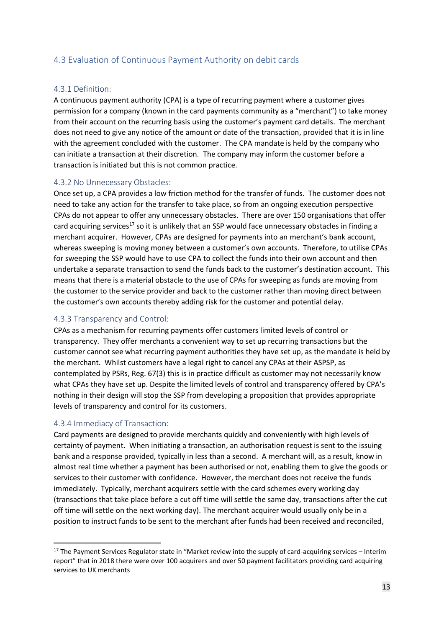## <span id="page-12-0"></span>4.3 Evaluation of Continuous Payment Authority on debit cards

#### 4.3.1 Definition:

A continuous payment authority (CPA) is a type of recurring payment where a customer gives permission for a company (known in the card payments community as a "merchant") to take money from their account on the recurring basis using the customer's payment card details. The merchant does not need to give any notice of the amount or date of the transaction, provided that it is in line with the agreement concluded with the customer. The CPA mandate is held by the company who can initiate a transaction at their discretion. The company may inform the customer before a transaction is initiated but this is not common practice.

#### 4.3.2 No Unnecessary Obstacles:

Once set up, a CPA provides a low friction method for the transfer of funds. The customer does not need to take any action for the transfer to take place, so from an ongoing execution perspective CPAs do not appear to offer any unnecessary obstacles. There are over 150 organisations that offer card acquiring services<sup>17</sup> so it is unlikely that an SSP would face unnecessary obstacles in finding a merchant acquirer. However, CPAs are designed for payments into an merchant's bank account, whereas sweeping is moving money between a customer's own accounts. Therefore, to utilise CPAs for sweeping the SSP would have to use CPA to collect the funds into their own account and then undertake a separate transaction to send the funds back to the customer's destination account. This means that there is a material obstacle to the use of CPAs for sweeping as funds are moving from the customer to the service provider and back to the customer rather than moving direct between the customer's own accounts thereby adding risk for the customer and potential delay.

#### 4.3.3 Transparency and Control:

CPAs as a mechanism for recurring payments offer customers limited levels of control or transparency. They offer merchants a convenient way to set up recurring transactions but the customer cannot see what recurring payment authorities they have set up, as the mandate is held by the merchant. Whilst customers have a legal right to cancel any CPAs at their ASPSP, as contemplated by PSRs, Reg. 67(3) this is in practice difficult as customer may not necessarily know what CPAs they have set up. Despite the limited levels of control and transparency offered by CPA's nothing in their design will stop the SSP from developing a proposition that provides appropriate levels of transparency and control for its customers.

#### 4.3.4 Immediacy of Transaction:

Card payments are designed to provide merchants quickly and conveniently with high levels of certainty of payment. When initiating a transaction, an authorisation request is sent to the issuing bank and a response provided, typically in less than a second. A merchant will, as a result, know in almost real time whether a payment has been authorised or not, enabling them to give the goods or services to their customer with confidence. However, the merchant does not receive the funds immediately. Typically, merchant acquirers settle with the card schemes every working day (transactions that take place before a cut off time will settle the same day, transactions after the cut off time will settle on the next working day). The merchant acquirer would usually only be in a position to instruct funds to be sent to the merchant after funds had been received and reconciled,

<sup>&</sup>lt;sup>17</sup> The Payment Services Regulator state in "Market review into the supply of card-acquiring services – Interim report" that in 2018 there were over 100 acquirers and over 50 payment facilitators providing card acquiring services to UK merchants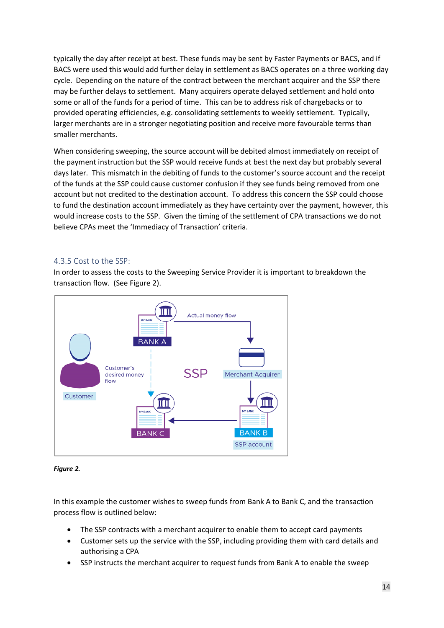typically the day after receipt at best. These funds may be sent by Faster Payments or BACS, and if BACS were used this would add further delay in settlement as BACS operates on a three working day cycle. Depending on the nature of the contract between the merchant acquirer and the SSP there may be further delays to settlement. Many acquirers operate delayed settlement and hold onto some or all of the funds for a period of time. This can be to address risk of chargebacks or to provided operating efficiencies, e.g. consolidating settlements to weekly settlement. Typically, larger merchants are in a stronger negotiating position and receive more favourable terms than smaller merchants.

When considering sweeping, the source account will be debited almost immediately on receipt of the payment instruction but the SSP would receive funds at best the next day but probably several days later. This mismatch in the debiting of funds to the customer's source account and the receipt of the funds at the SSP could cause customer confusion if they see funds being removed from one account but not credited to the destination account. To address this concern the SSP could choose to fund the destination account immediately as they have certainty over the payment, however, this would increase costs to the SSP. Given the timing of the settlement of CPA transactions we do not believe CPAs meet the 'Immediacy of Transaction' criteria.

#### 4.3.5 Cost to the SSP:

In order to assess the costs to the Sweeping Service Provider it is important to breakdown the transaction flow. (See Figure 2).



#### *Figure 2.*

In this example the customer wishes to sweep funds from Bank A to Bank C, and the transaction process flow is outlined below:

- The SSP contracts with a merchant acquirer to enable them to accept card payments
- Customer sets up the service with the SSP, including providing them with card details and authorising a CPA
- SSP instructs the merchant acquirer to request funds from Bank A to enable the sweep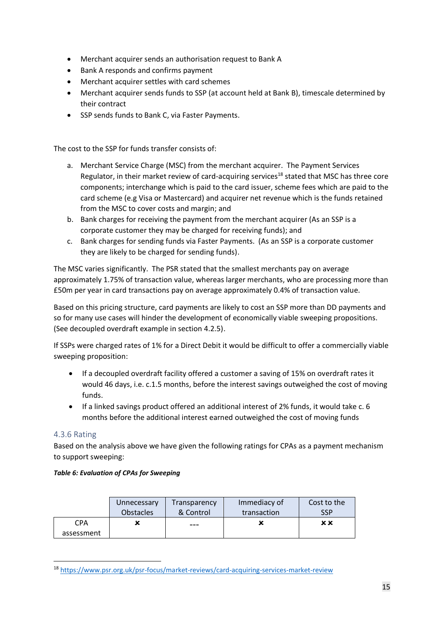- Merchant acquirer sends an authorisation request to Bank A
- Bank A responds and confirms payment
- Merchant acquirer settles with card schemes
- Merchant acquirer sends funds to SSP (at account held at Bank B), timescale determined by their contract
- SSP sends funds to Bank C, via Faster Payments.

The cost to the SSP for funds transfer consists of:

- a. Merchant Service Charge (MSC) from the merchant acquirer. The Payment Services Regulator, in their market review of card-acquiring services<sup>18</sup> stated that MSC has three core components; interchange which is paid to the card issuer, scheme fees which are paid to the card scheme (e.g Visa or Mastercard) and acquirer net revenue which is the funds retained from the MSC to cover costs and margin; and
- b. Bank charges for receiving the payment from the merchant acquirer (As an SSP is a corporate customer they may be charged for receiving funds); and
- c. Bank charges for sending funds via Faster Payments. (As an SSP is a corporate customer they are likely to be charged for sending funds).

The MSC varies significantly. The PSR stated that the smallest merchants pay on average approximately 1.75% of transaction value, whereas larger merchants, who are processing more than £50m per year in card transactions pay on average approximately 0.4% of transaction value.

Based on this pricing structure, card payments are likely to cost an SSP more than DD payments and so for many use cases will hinder the development of economically viable sweeping propositions. (See decoupled overdraft example in section 4.2.5).

If SSPs were charged rates of 1% for a Direct Debit it would be difficult to offer a commercially viable sweeping proposition:

- If a decoupled overdraft facility offered a customer a saving of 15% on overdraft rates it would 46 days, i.e. c.1.5 months, before the interest savings outweighed the cost of moving funds.
- If a linked savings product offered an additional interest of 2% funds, it would take c. 6 months before the additional interest earned outweighed the cost of moving funds

#### 4.3.6 Rating

Based on the analysis above we have given the following ratings for CPAs as a payment mechanism to support sweeping:

#### *Table 6: Evaluation of CPAs for Sweeping*

|                          | Unnecessary      | Transparency | Immediacy of | Cost to the |
|--------------------------|------------------|--------------|--------------|-------------|
|                          | <b>Obstacles</b> | & Control    | transaction  | SSP         |
| <b>CPA</b><br>assessment |                  | ---          |              | ×х          |

<sup>18</sup> <https://www.psr.org.uk/psr-focus/market-reviews/card-acquiring-services-market-review>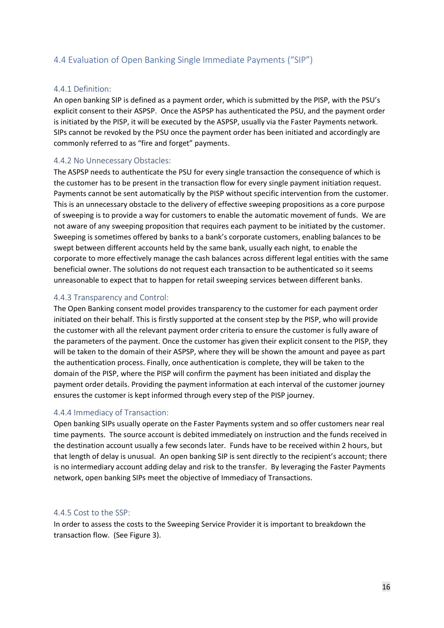## <span id="page-15-0"></span>4.4 Evaluation of Open Banking Single Immediate Payments ("SIP")

#### 4.4.1 Definition:

An open banking SIP is defined as a payment order, which is submitted by the PISP, with the PSU's explicit consent to their ASPSP. Once the ASPSP has authenticated the PSU, and the payment order is initiated by the PISP, it will be executed by the ASPSP, usually via the Faster Payments network. SIPs cannot be revoked by the PSU once the payment order has been initiated and accordingly are commonly referred to as "fire and forget" payments.

#### 4.4.2 No Unnecessary Obstacles:

The ASPSP needs to authenticate the PSU for every single transaction the consequence of which is the customer has to be present in the transaction flow for every single payment initiation request. Payments cannot be sent automatically by the PISP without specific intervention from the customer. This is an unnecessary obstacle to the delivery of effective sweeping propositions as a core purpose of sweeping is to provide a way for customers to enable the automatic movement of funds. We are not aware of any sweeping proposition that requires each payment to be initiated by the customer. Sweeping is sometimes offered by banks to a bank's corporate customers, enabling balances to be swept between different accounts held by the same bank, usually each night, to enable the corporate to more effectively manage the cash balances across different legal entities with the same beneficial owner. The solutions do not request each transaction to be authenticated so it seems unreasonable to expect that to happen for retail sweeping services between different banks.

#### 4.4.3 Transparency and Control:

The Open Banking consent model provides transparency to the customer for each payment order initiated on their behalf. This is firstly supported at the consent step by the PISP, who will provide the customer with all the relevant payment order criteria to ensure the customer is fully aware of the parameters of the payment. Once the customer has given their explicit consent to the PISP, they will be taken to the domain of their ASPSP, where they will be shown the amount and payee as part the authentication process. Finally, once authentication is complete, they will be taken to the domain of the PISP, where the PISP will confirm the payment has been initiated and display the payment order details. Providing the payment information at each interval of the customer journey ensures the customer is kept informed through every step of the PISP journey.

#### 4.4.4 Immediacy of Transaction:

Open banking SIPs usually operate on the Faster Payments system and so offer customers near real time payments. The source account is debited immediately on instruction and the funds received in the destination account usually a few seconds later. Funds have to be received within 2 hours, but that length of delay is unusual. An open banking SIP is sent directly to the recipient's account; there is no intermediary account adding delay and risk to the transfer. By leveraging the Faster Payments network, open banking SIPs meet the objective of Immediacy of Transactions.

#### 4.4.5 Cost to the SSP:

In order to assess the costs to the Sweeping Service Provider it is important to breakdown the transaction flow. (See Figure 3).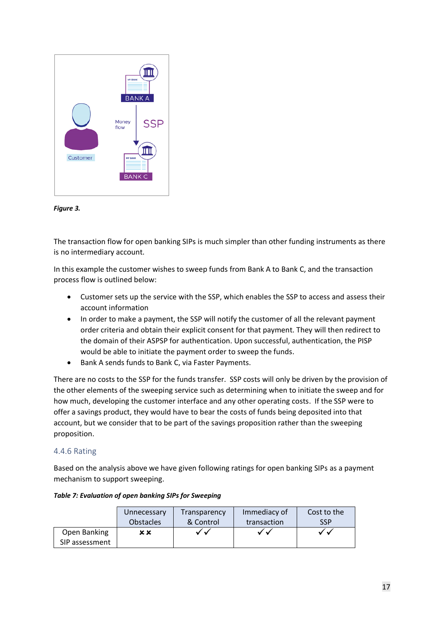



The transaction flow for open banking SIPs is much simpler than other funding instruments as there is no intermediary account.

In this example the customer wishes to sweep funds from Bank A to Bank C, and the transaction process flow is outlined below:

- Customer sets up the service with the SSP, which enables the SSP to access and assess their account information
- In order to make a payment, the SSP will notify the customer of all the relevant payment order criteria and obtain their explicit consent for that payment. They will then redirect to the domain of their ASPSP for authentication. Upon successful, authentication, the PISP would be able to initiate the payment order to sweep the funds.
- Bank A sends funds to Bank C, via Faster Payments.

There are no costs to the SSP for the funds transfer. SSP costs will only be driven by the provision of the other elements of the sweeping service such as determining when to initiate the sweep and for how much, developing the customer interface and any other operating costs. If the SSP were to offer a savings product, they would have to bear the costs of funds being deposited into that account, but we consider that to be part of the savings proposition rather than the sweeping proposition.

#### 4.4.6 Rating

Based on the analysis above we have given following ratings for open banking SIPs as a payment mechanism to support sweeping.

|                | Unnecessary      | Transparency | Immediacy of | Cost to the |
|----------------|------------------|--------------|--------------|-------------|
|                | <b>Obstacles</b> | & Control    | transaction  | <b>SSP</b>  |
| Open Banking   | хx               | ✓✓           | ✓✓           | ✓✓          |
| SIP assessment |                  |              |              |             |

#### *Table 7: Evaluation of open banking SIPs for Sweeping*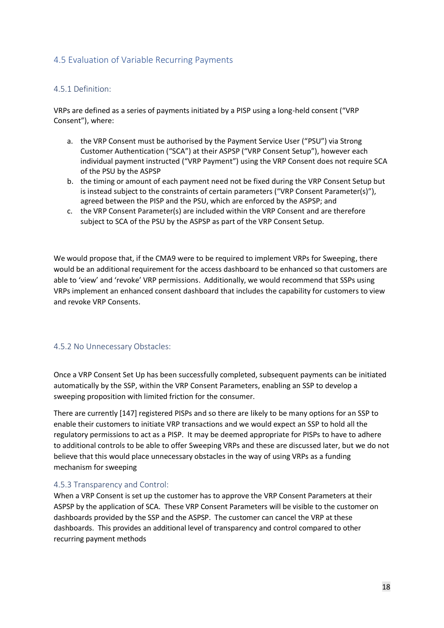## <span id="page-17-0"></span>4.5 Evaluation of Variable Recurring Payments

#### 4.5.1 Definition:

VRPs are defined as a series of payments initiated by a PISP using a long-held consent ("VRP Consent"), where:

- a. the VRP Consent must be authorised by the Payment Service User ("PSU") via Strong Customer Authentication ("SCA") at their ASPSP ("VRP Consent Setup"), however each individual payment instructed ("VRP Payment") using the VRP Consent does not require SCA of the PSU by the ASPSP
- b. the timing or amount of each payment need not be fixed during the VRP Consent Setup but is instead subject to the constraints of certain parameters ("VRP Consent Parameter(s)"), agreed between the PISP and the PSU, which are enforced by the ASPSP; and
- c. the VRP Consent Parameter(s) are included within the VRP Consent and are therefore subject to SCA of the PSU by the ASPSP as part of the VRP Consent Setup.

We would propose that, if the CMA9 were to be required to implement VRPs for Sweeping, there would be an additional requirement for the access dashboard to be enhanced so that customers are able to 'view' and 'revoke' VRP permissions. Additionally, we would recommend that SSPs using VRPs implement an enhanced consent dashboard that includes the capability for customers to view and revoke VRP Consents.

#### 4.5.2 No Unnecessary Obstacles:

Once a VRP Consent Set Up has been successfully completed, subsequent payments can be initiated automatically by the SSP, within the VRP Consent Parameters, enabling an SSP to develop a sweeping proposition with limited friction for the consumer.

There are currently [147] registered PISPs and so there are likely to be many options for an SSP to enable their customers to initiate VRP transactions and we would expect an SSP to hold all the regulatory permissions to act as a PISP. It may be deemed appropriate for PISPs to have to adhere to additional controls to be able to offer Sweeping VRPs and these are discussed later, but we do not believe that this would place unnecessary obstacles in the way of using VRPs as a funding mechanism for sweeping

#### 4.5.3 Transparency and Control:

When a VRP Consent is set up the customer has to approve the VRP Consent Parameters at their ASPSP by the application of SCA. These VRP Consent Parameters will be visible to the customer on dashboards provided by the SSP and the ASPSP. The customer can cancel the VRP at these dashboards. This provides an additional level of transparency and control compared to other recurring payment methods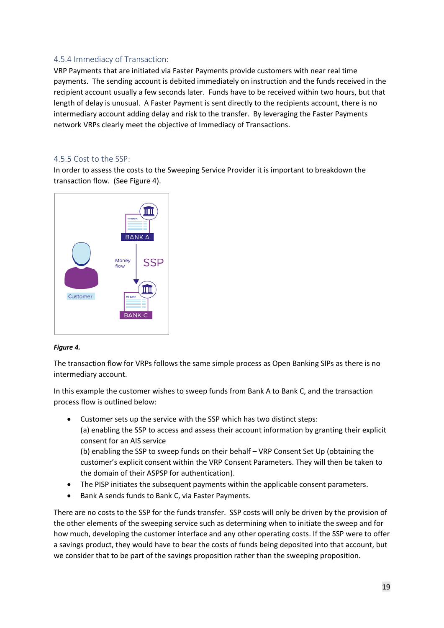## 4.5.4 Immediacy of Transaction:

VRP Payments that are initiated via Faster Payments provide customers with near real time payments. The sending account is debited immediately on instruction and the funds received in the recipient account usually a few seconds later. Funds have to be received within two hours, but that length of delay is unusual. A Faster Payment is sent directly to the recipients account, there is no intermediary account adding delay and risk to the transfer. By leveraging the Faster Payments network VRPs clearly meet the objective of Immediacy of Transactions.

#### 4.5.5 Cost to the SSP:

In order to assess the costs to the Sweeping Service Provider it is important to breakdown the transaction flow. (See Figure 4).



#### *Figure 4.*

The transaction flow for VRPs follows the same simple process as Open Banking SIPs as there is no intermediary account.

In this example the customer wishes to sweep funds from Bank A to Bank C, and the transaction process flow is outlined below:

- Customer sets up the service with the SSP which has two distinct steps: (a) enabling the SSP to access and assess their account information by granting their explicit consent for an AIS service (b) enabling the SSP to sweep funds on their behalf – VRP Consent Set Up (obtaining the customer's explicit consent within the VRP Consent Parameters. They will then be taken to the domain of their ASPSP for authentication).
- The PISP initiates the subsequent payments within the applicable consent parameters.
- Bank A sends funds to Bank C, via Faster Payments.

There are no costs to the SSP for the funds transfer. SSP costs will only be driven by the provision of the other elements of the sweeping service such as determining when to initiate the sweep and for how much, developing the customer interface and any other operating costs. If the SSP were to offer a savings product, they would have to bear the costs of funds being deposited into that account, but we consider that to be part of the savings proposition rather than the sweeping proposition.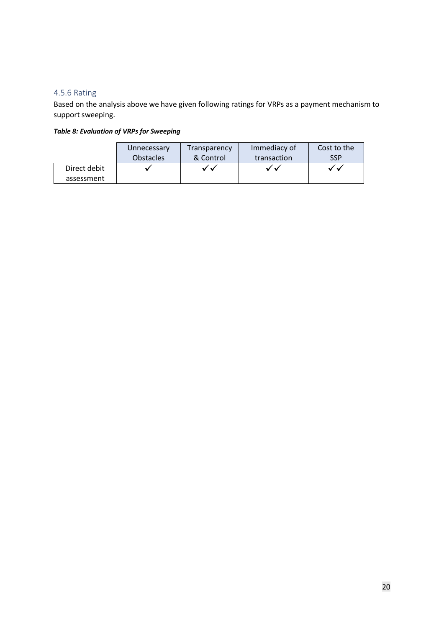## 4.5.6 Rating

Based on the analysis above we have given following ratings for VRPs as a payment mechanism to support sweeping.

## *Table 8: Evaluation of VRPs for Sweeping*

|              | Unnecessary      | Transparency | Immediacy of | Cost to the             |
|--------------|------------------|--------------|--------------|-------------------------|
|              | <b>Obstacles</b> | & Control    | transaction  | <b>SSP</b>              |
| Direct debit |                  |              |              | $\overline{\mathbf{u}}$ |
| assessment   |                  |              |              |                         |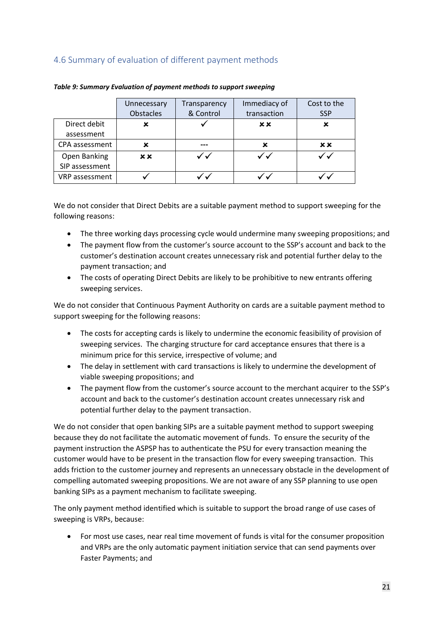## <span id="page-20-0"></span>4.6 Summary of evaluation of different payment methods

|                | Unnecessary | Transparency | Immediacy of | Cost to the |
|----------------|-------------|--------------|--------------|-------------|
|                | Obstacles   | & Control    | transaction  | <b>SSP</b>  |
| Direct debit   |             |              | x x          | ×           |
| assessment     |             |              |              |             |
| CPA assessment | x           |              | ×            | <b>xx</b>   |
| Open Banking   | <b>xx</b>   |              |              |             |
| SIP assessment |             |              |              |             |
| VRP assessment |             |              |              |             |

*Table 9: Summary Evaluation of payment methods to support sweeping*

We do not consider that Direct Debits are a suitable payment method to support sweeping for the following reasons:

- The three working days processing cycle would undermine many sweeping propositions; and
- The payment flow from the customer's source account to the SSP's account and back to the customer's destination account creates unnecessary risk and potential further delay to the payment transaction; and
- The costs of operating Direct Debits are likely to be prohibitive to new entrants offering sweeping services.

We do not consider that Continuous Payment Authority on cards are a suitable payment method to support sweeping for the following reasons:

- The costs for accepting cards is likely to undermine the economic feasibility of provision of sweeping services. The charging structure for card acceptance ensures that there is a minimum price for this service, irrespective of volume; and
- The delay in settlement with card transactions is likely to undermine the development of viable sweeping propositions; and
- The payment flow from the customer's source account to the merchant acquirer to the SSP's account and back to the customer's destination account creates unnecessary risk and potential further delay to the payment transaction.

We do not consider that open banking SIPs are a suitable payment method to support sweeping because they do not facilitate the automatic movement of funds. To ensure the security of the payment instruction the ASPSP has to authenticate the PSU for every transaction meaning the customer would have to be present in the transaction flow for every sweeping transaction. This adds friction to the customer journey and represents an unnecessary obstacle in the development of compelling automated sweeping propositions. We are not aware of any SSP planning to use open banking SIPs as a payment mechanism to facilitate sweeping.

The only payment method identified which is suitable to support the broad range of use cases of sweeping is VRPs, because:

• For most use cases, near real time movement of funds is vital for the consumer proposition and VRPs are the only automatic payment initiation service that can send payments over Faster Payments; and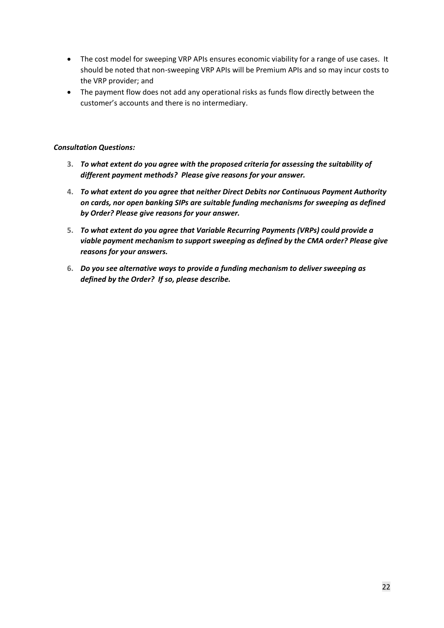- The cost model for sweeping VRP APIs ensures economic viability for a range of use cases. It should be noted that non-sweeping VRP APIs will be Premium APIs and so may incur costs to the VRP provider; and
- The payment flow does not add any operational risks as funds flow directly between the customer's accounts and there is no intermediary.

#### *Consultation Questions:*

- **3.** *To what extent do you agree with the proposed criteria for assessing the suitability of different payment methods? Please give reasons for your answer.*
- **4.** *To what extent do you agree that neither Direct Debits nor Continuous Payment Authority on cards, nor open banking SIPs are suitable funding mechanisms for sweeping as defined by Order? Please give reasons for your answer.*
- **5.** *To what extent do you agree that Variable Recurring Payments (VRPs) could provide a viable payment mechanism to support sweeping as defined by the CMA order? Please give reasons for your answers.*
- **6.** *Do you see alternative ways to provide a funding mechanism to deliver sweeping as defined by the Order? If so, please describe.*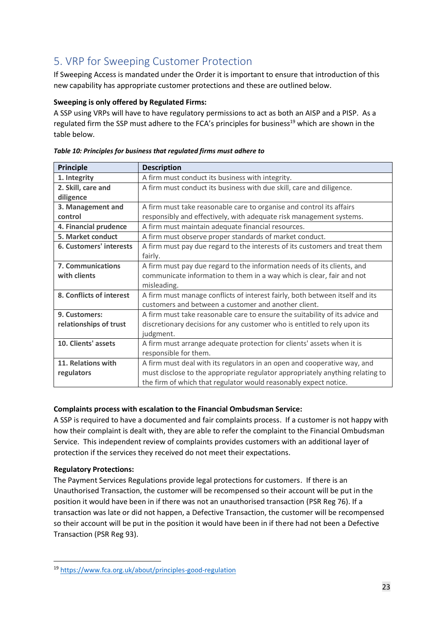# <span id="page-22-0"></span>5. VRP for Sweeping Customer Protection

If Sweeping Access is mandated under the Order it is important to ensure that introduction of this new capability has appropriate customer protections and these are outlined below.

## **Sweeping is only offered by Regulated Firms:**

A SSP using VRPs will have to have regulatory permissions to act as both an AISP and a PISP. As a regulated firm the SSP must adhere to the FCA's principles for business<sup>19</sup> which are shown in the table below.

| Principle                      | <b>Description</b>                                                            |
|--------------------------------|-------------------------------------------------------------------------------|
| 1. Integrity                   | A firm must conduct its business with integrity.                              |
| 2. Skill, care and             | A firm must conduct its business with due skill, care and diligence.          |
| diligence                      |                                                                               |
| 3. Management and              | A firm must take reasonable care to organise and control its affairs          |
| control                        | responsibly and effectively, with adequate risk management systems.           |
| 4. Financial prudence          | A firm must maintain adequate financial resources.                            |
| 5. Market conduct              | A firm must observe proper standards of market conduct.                       |
| <b>6. Customers' interests</b> | A firm must pay due regard to the interests of its customers and treat them   |
|                                | fairly.                                                                       |
| 7. Communications              | A firm must pay due regard to the information needs of its clients, and       |
| with clients                   | communicate information to them in a way which is clear, fair and not         |
|                                | misleading.                                                                   |
| 8. Conflicts of interest       | A firm must manage conflicts of interest fairly, both between itself and its  |
|                                | customers and between a customer and another client.                          |
| 9. Customers:                  | A firm must take reasonable care to ensure the suitability of its advice and  |
| relationships of trust         | discretionary decisions for any customer who is entitled to rely upon its     |
|                                | judgment.                                                                     |
| 10. Clients' assets            | A firm must arrange adequate protection for clients' assets when it is        |
|                                | responsible for them.                                                         |
| 11. Relations with             | A firm must deal with its regulators in an open and cooperative way, and      |
| regulators                     | must disclose to the appropriate regulator appropriately anything relating to |
|                                | the firm of which that regulator would reasonably expect notice.              |

*Table 10: Principles for business that regulated firms must adhere to*

## **Complaints process with escalation to the Financial Ombudsman Service:**

A SSP is required to have a documented and fair complaints process. If a customer is not happy with how their complaint is dealt with, they are able to refer the complaint to the Financial Ombudsman Service. This independent review of complaints provides customers with an additional layer of protection if the services they received do not meet their expectations.

## **Regulatory Protections:**

The Payment Services Regulations provide legal protections for customers. If there is an Unauthorised Transaction, the customer will be recompensed so their account will be put in the position it would have been in if there was not an unauthorised transaction (PSR Reg 76). If a transaction was late or did not happen, a Defective Transaction, the customer will be recompensed so their account will be put in the position it would have been in if there had not been a Defective Transaction (PSR Reg 93).

<sup>19</sup> <https://www.fca.org.uk/about/principles-good-regulation>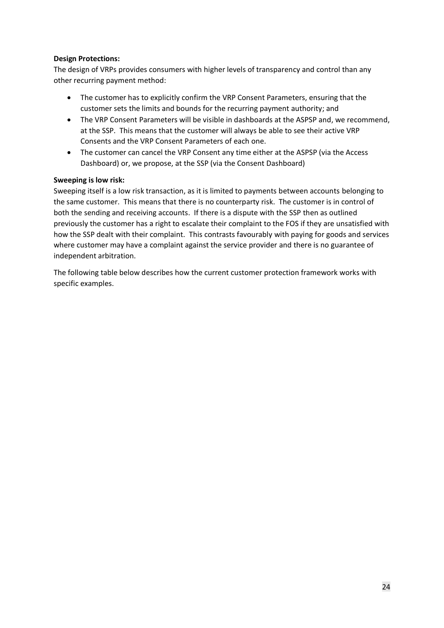#### **Design Protections:**

The design of VRPs provides consumers with higher levels of transparency and control than any other recurring payment method:

- The customer has to explicitly confirm the VRP Consent Parameters, ensuring that the customer sets the limits and bounds for the recurring payment authority; and
- The VRP Consent Parameters will be visible in dashboards at the ASPSP and, we recommend, at the SSP. This means that the customer will always be able to see their active VRP Consents and the VRP Consent Parameters of each one.
- The customer can cancel the VRP Consent any time either at the ASPSP (via the Access Dashboard) or, we propose, at the SSP (via the Consent Dashboard)

#### **Sweeping is low risk:**

Sweeping itself is a low risk transaction, as it is limited to payments between accounts belonging to the same customer. This means that there is no counterparty risk. The customer is in control of both the sending and receiving accounts. If there is a dispute with the SSP then as outlined previously the customer has a right to escalate their complaint to the FOS if they are unsatisfied with how the SSP dealt with their complaint. This contrasts favourably with paying for goods and services where customer may have a complaint against the service provider and there is no guarantee of independent arbitration.

The following table below describes how the current customer protection framework works with specific examples.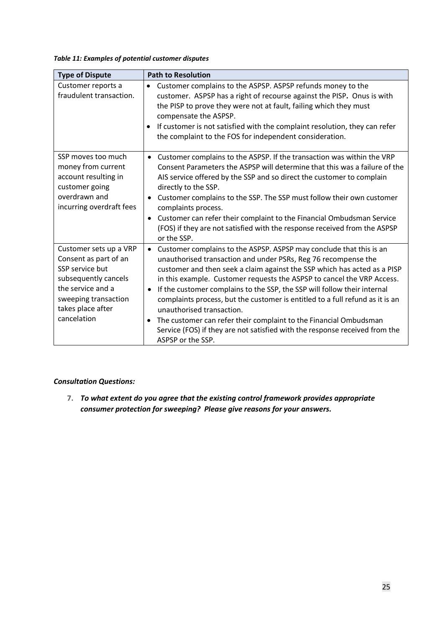*Table 11: Examples of potential customer disputes*

| <b>Type of Dispute</b>                                                                                                                                                      | <b>Path to Resolution</b>                                                                                                                                                                                                                                                                                                                                                                                                                                                                                                                                                                                                                                                                |
|-----------------------------------------------------------------------------------------------------------------------------------------------------------------------------|------------------------------------------------------------------------------------------------------------------------------------------------------------------------------------------------------------------------------------------------------------------------------------------------------------------------------------------------------------------------------------------------------------------------------------------------------------------------------------------------------------------------------------------------------------------------------------------------------------------------------------------------------------------------------------------|
| Customer reports a<br>fraudulent transaction.                                                                                                                               | Customer complains to the ASPSP. ASPSP refunds money to the<br>$\bullet$<br>customer. ASPSP has a right of recourse against the PISP. Onus is with<br>the PISP to prove they were not at fault, failing which they must<br>compensate the ASPSP.<br>If customer is not satisfied with the complaint resolution, they can refer<br>the complaint to the FOS for independent consideration.                                                                                                                                                                                                                                                                                                |
| SSP moves too much<br>money from current<br>account resulting in<br>customer going<br>overdrawn and<br>incurring overdraft fees                                             | • Customer complains to the ASPSP. If the transaction was within the VRP<br>Consent Parameters the ASPSP will determine that this was a failure of the<br>AIS service offered by the SSP and so direct the customer to complain<br>directly to the SSP.<br>Customer complains to the SSP. The SSP must follow their own customer<br>$\bullet$<br>complaints process.<br>Customer can refer their complaint to the Financial Ombudsman Service<br>٠<br>(FOS) if they are not satisfied with the response received from the ASPSP<br>or the SSP.                                                                                                                                           |
| Customer sets up a VRP<br>Consent as part of an<br>SSP service but<br>subsequently cancels<br>the service and a<br>sweeping transaction<br>takes place after<br>cancelation | Customer complains to the ASPSP. ASPSP may conclude that this is an<br>$\bullet$<br>unauthorised transaction and under PSRs, Reg 76 recompense the<br>customer and then seek a claim against the SSP which has acted as a PISP<br>in this example. Customer requests the ASPSP to cancel the VRP Access.<br>If the customer complains to the SSP, the SSP will follow their internal<br>$\bullet$<br>complaints process, but the customer is entitled to a full refund as it is an<br>unauthorised transaction.<br>The customer can refer their complaint to the Financial Ombudsman<br>Service (FOS) if they are not satisfied with the response received from the<br>ASPSP or the SSP. |

#### *Consultation Questions:*

**7.** *To what extent do you agree that the existing control framework provides appropriate consumer protection for sweeping? Please give reasons for your answers.*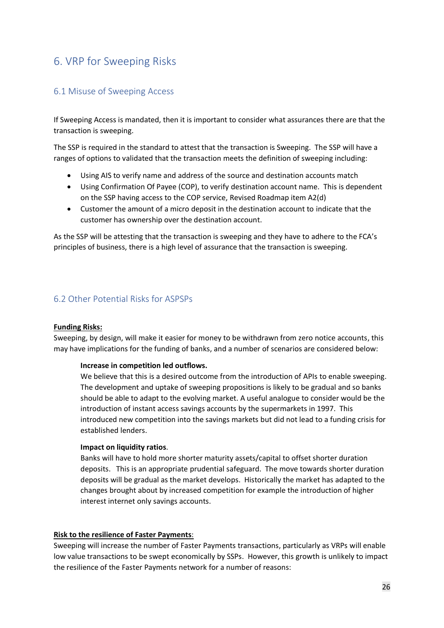# <span id="page-25-0"></span>6. VRP for Sweeping Risks

## <span id="page-25-1"></span>6.1 Misuse of Sweeping Access

If Sweeping Access is mandated, then it is important to consider what assurances there are that the transaction is sweeping.

The SSP is required in the standard to attest that the transaction is Sweeping. The SSP will have a ranges of options to validated that the transaction meets the definition of sweeping including:

- Using AIS to verify name and address of the source and destination accounts match
- Using Confirmation Of Payee (COP), to verify destination account name. This is dependent on the SSP having access to the COP service, Revised Roadmap item A2(d)
- Customer the amount of a micro deposit in the destination account to indicate that the customer has ownership over the destination account.

As the SSP will be attesting that the transaction is sweeping and they have to adhere to the FCA's principles of business, there is a high level of assurance that the transaction is sweeping.

### <span id="page-25-2"></span>6.2 Other Potential Risks for ASPSPs

#### **Funding Risks:**

Sweeping, by design, will make it easier for money to be withdrawn from zero notice accounts, this may have implications for the funding of banks, and a number of scenarios are considered below:

#### **Increase in competition led outflows.**

We believe that this is a desired outcome from the introduction of APIs to enable sweeping. The development and uptake of sweeping propositions is likely to be gradual and so banks should be able to adapt to the evolving market. A useful analogue to consider would be the introduction of instant access savings accounts by the supermarkets in 1997. This introduced new competition into the savings markets but did not lead to a funding crisis for established lenders.

#### **Impact on liquidity ratios**.

Banks will have to hold more shorter maturity assets/capital to offset shorter duration deposits. This is an appropriate prudential safeguard. The move towards shorter duration deposits will be gradual as the market develops. Historically the market has adapted to the changes brought about by increased competition for example the introduction of higher interest internet only savings accounts.

#### **Risk to the resilience of Faster Payments**:

Sweeping will increase the number of Faster Payments transactions, particularly as VRPs will enable low value transactions to be swept economically by SSPs. However, this growth is unlikely to impact the resilience of the Faster Payments network for a number of reasons: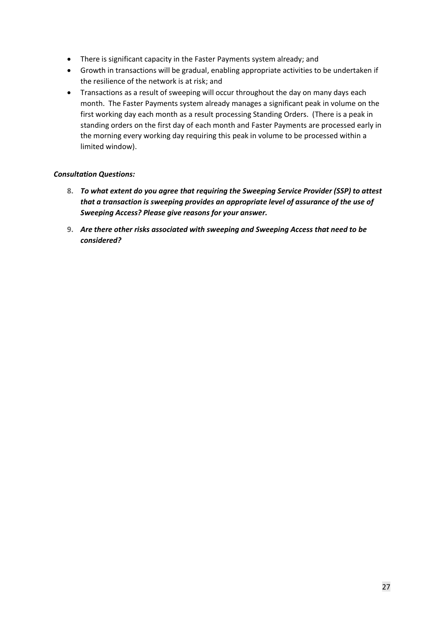- There is significant capacity in the Faster Payments system already; and
- Growth in transactions will be gradual, enabling appropriate activities to be undertaken if the resilience of the network is at risk; and
- Transactions as a result of sweeping will occur throughout the day on many days each month. The Faster Payments system already manages a significant peak in volume on the first working day each month as a result processing Standing Orders. (There is a peak in standing orders on the first day of each month and Faster Payments are processed early in the morning every working day requiring this peak in volume to be processed within a limited window).

### *Consultation Questions:*

- **8.** *To what extent do you agree that requiring the Sweeping Service Provider (SSP) to attest that a transaction is sweeping provides an appropriate level of assurance of the use of Sweeping Access? Please give reasons for your answer.*
- **9.** *Are there other risks associated with sweeping and Sweeping Access that need to be considered?*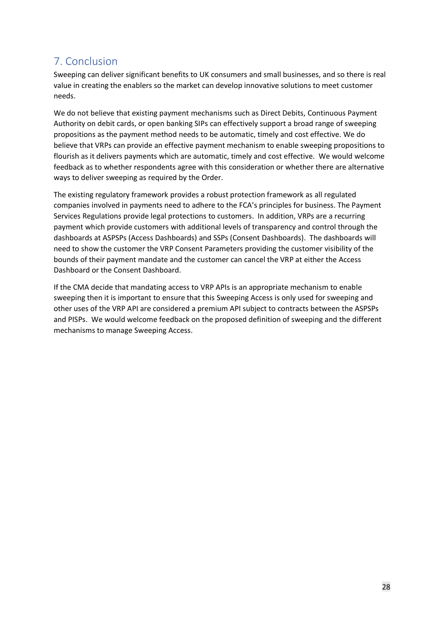# <span id="page-27-0"></span>7. Conclusion

Sweeping can deliver significant benefits to UK consumers and small businesses, and so there is real value in creating the enablers so the market can develop innovative solutions to meet customer needs.

We do not believe that existing payment mechanisms such as Direct Debits, Continuous Payment Authority on debit cards, or open banking SIPs can effectively support a broad range of sweeping propositions as the payment method needs to be automatic, timely and cost effective. We do believe that VRPs can provide an effective payment mechanism to enable sweeping propositions to flourish as it delivers payments which are automatic, timely and cost effective. We would welcome feedback as to whether respondents agree with this consideration or whether there are alternative ways to deliver sweeping as required by the Order.

The existing regulatory framework provides a robust protection framework as all regulated companies involved in payments need to adhere to the FCA's principles for business. The Payment Services Regulations provide legal protections to customers. In addition, VRPs are a recurring payment which provide customers with additional levels of transparency and control through the dashboards at ASPSPs (Access Dashboards) and SSPs (Consent Dashboards). The dashboards will need to show the customer the VRP Consent Parameters providing the customer visibility of the bounds of their payment mandate and the customer can cancel the VRP at either the Access Dashboard or the Consent Dashboard.

If the CMA decide that mandating access to VRP APIs is an appropriate mechanism to enable sweeping then it is important to ensure that this Sweeping Access is only used for sweeping and other uses of the VRP API are considered a premium API subject to contracts between the ASPSPs and PISPs. We would welcome feedback on the proposed definition of sweeping and the different mechanisms to manage Sweeping Access.